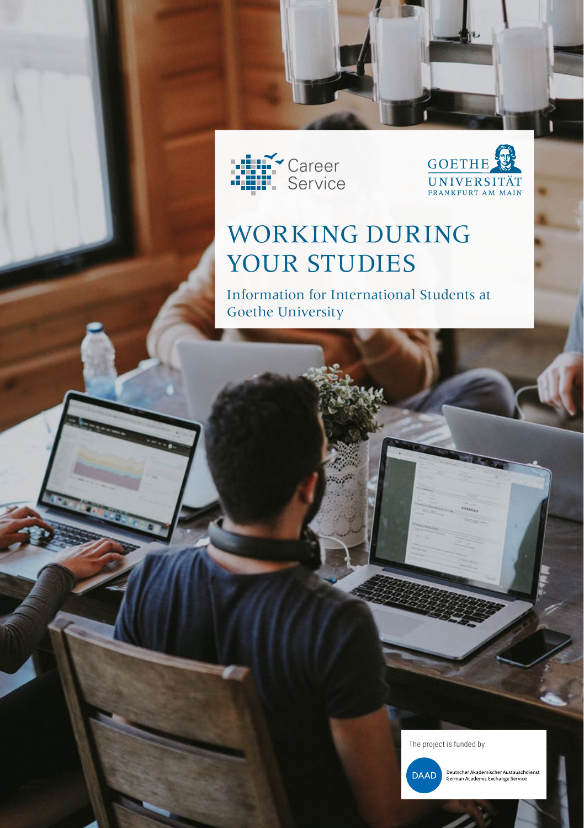



**GOETHE** 

UNIVERSITÄT

Information for International Students at Goethe University

The project is funded by:



Deutscher Akademischer Austauschdienst<br>German Academic Exchange Service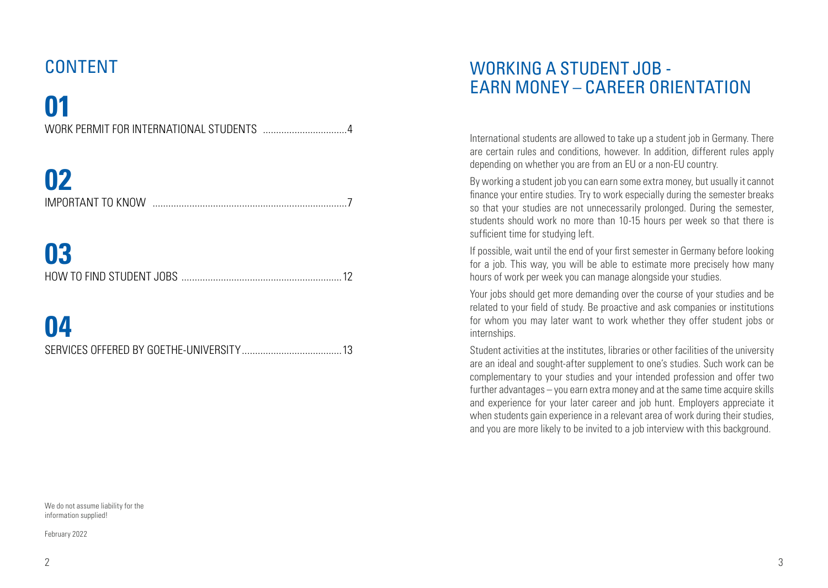### CONTENT

# **01**

# **02**

| <b>IMPORTANT TO KNOW</b> |  |
|--------------------------|--|

### **03**

# **04**

We do not assume liability for the information supplied!

February 2022

### WORKING A STUDENT JOB - EARN MONEY – CAREER ORIENTATION

International students are allowed to take up a student job in Germany. There are certain rules and conditions, however. In addition, different rules apply depending on whether you are from an EU or a non-EU country.

By working a student job you can earn some extra money, but usually it cannot finance your entire studies. Try to work especially during the semester breaks so that your studies are not unnecessarily prolonged. During the semester, students should work no more than 10-15 hours per week so that there is sufficient time for studying left.

If possible, wait until the end of your first semester in Germany before looking for a job. This way, you will be able to estimate more precisely how many hours of work per week you can manage alongside your studies.

Your jobs should get more demanding over the course of your studies and be related to your field of study. Be proactive and ask companies or institutions for whom you may later want to work whether they offer student jobs or internships.

Student activities at the institutes, libraries or other facilities of the university are an ideal and sought-after supplement to one's studies. Such work can be complementary to your studies and your intended profession and offer two further advantages – you earn extra money and at the same time acquire skills and experience for your later career and job hunt. Employers appreciate it when students gain experience in a relevant area of work during their studies, and you are more likely to be invited to a job interview with this background.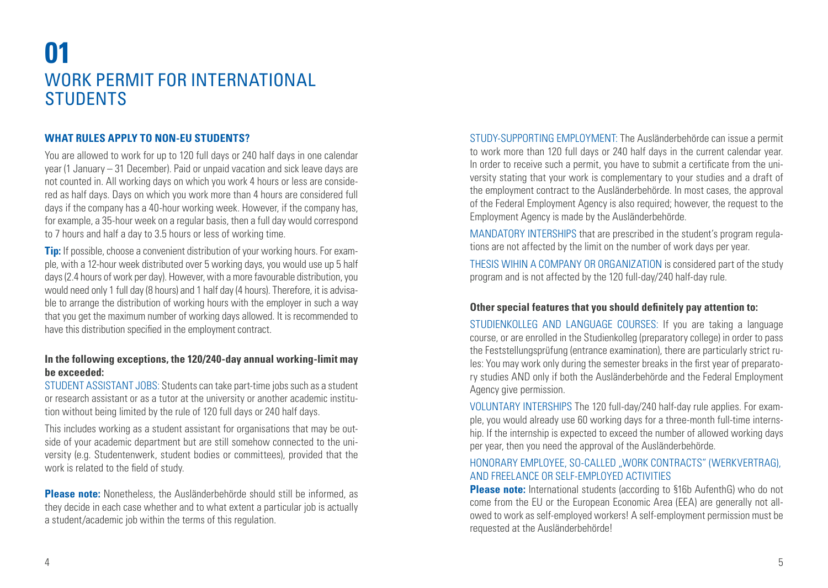### **01** WORK PERMIT FOR INTERNATIONAL **STUDENTS**

#### **WHAT RULES APPLY TO NON-EU STUDENTS?**

You are allowed to work for up to 120 full days or 240 half days in one calendar year (1 January – 31 December). Paid or unpaid vacation and sick leave days are not counted in. All working days on which you work 4 hours or less are considered as half days. Days on which you work more than 4 hours are considered full days if the company has a 40-hour working week. However, if the company has, for example, a 35-hour week on a regular basis, then a full day would correspond to 7 hours and half a day to 3.5 hours or less of working time.

**Tip:** If possible, choose a convenient distribution of your working hours. For example, with a 12-hour week distributed over 5 working days, you would use up 5 half days (2.4 hours of work per day). However, with a more favourable distribution, you would need only 1 full day (8 hours) and 1 half day (4 hours). Therefore, it is advisable to arrange the distribution of working hours with the employer in such a way that you get the maximum number of working days allowed. It is recommended to have this distribution specified in the employment contract.

#### **In the following exceptions, the 120/240-day annual working-limit may be exceeded:**

STUDENT ASSISTANT JOBS: Students can take part-time jobs such as a student or research assistant or as a tutor at the university or another academic institution without being limited by the rule of 120 full days or 240 half days.

This includes working as a student assistant for organisations that may be outside of your academic department but are still somehow connected to the university (e.g. Studentenwerk, student bodies or committees), provided that the work is related to the field of study.

**Please note:** Nonetheless, the Ausländerbehörde should still be informed, as they decide in each case whether and to what extent a particular job is actually a student/academic job within the terms of this regulation.

STUDY-SUPPORTING EMPLOYMENT: The Ausländerbehörde can issue a permit to work more than 120 full days or 240 half days in the current calendar year. In order to receive such a permit, you have to submit a certificate from the university stating that your work is complementary to your studies and a draft of the employment contract to the Ausländerbehörde. In most cases, the approval of the Federal Employment Agency is also required; however, the request to the Employment Agency is made by the Ausländerbehörde.

MANDATORY INTERSHIPS that are prescribed in the student's program regulations are not affected by the limit on the number of work days per year.

THESIS WIHIN A COMPANY OR ORGANIZATION is considered part of the study program and is not affected by the 120 full-day/240 half-day rule.

#### **Other special features that you should definitely pay attention to:**

STUDIENKOLLEG AND LANGUAGE COURSES: If you are taking a language course, or are enrolled in the Studienkolleg (preparatory college) in order to pass the Feststellungsprüfung (entrance examination), there are particularly strict rules: You may work only during the semester breaks in the first year of preparatory studies AND only if both the Ausländerbehörde and the Federal Employment Agency give permission.

VOLUNTARY INTERSHIPS The 120 full-day/240 half-day rule applies. For example, you would already use 60 working days for a three-month full-time internship. If the internship is expected to exceed the number of allowed working days per year, then you need the approval of the Ausländerbehörde.

#### HONORARY EMPLOYEE, SO-CALLED, WORK CONTRACTS" (WERKVERTRAG), AND FREELANCE OR SELF-EMPLOYED ACTIVITIES

**Please note:** International students (according to §16b AufenthG) who do not come from the EU or the European Economic Area (EEA) are generally not allowed to work as self-employed workers! A self-employment permission must be requested at the Ausländerbehörde!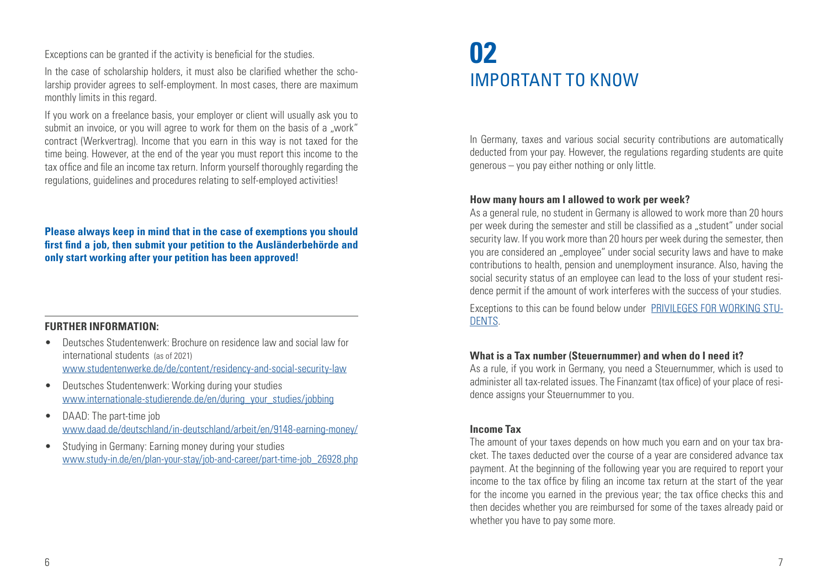Exceptions can be granted if the activity is beneficial for the studies.

In the case of scholarship holders, it must also be clarified whether the scholarship provider agrees to self-employment. In most cases, there are maximum monthly limits in this regard.

If you work on a freelance basis, your employer or client will usually ask you to submit an invoice, or you will agree to work for them on the basis of a "work" contract (Werkvertrag). Income that you earn in this way is not taxed for the time being. However, at the end of the year you must report this income to the tax office and file an income tax return. Inform yourself thoroughly regarding the regulations, guidelines and procedures relating to self-employed activities!

**Please always keep in mind that in the case of exemptions you should first find a job, then submit your petition to the Ausländerbehörde and only start working after your petition has been approved!**

#### **FURTHER INFORMATION:**

- Deutsches Studentenwerk: Brochure on residence law and social law for international students (as of 2021) www.studentenwerke.de/de/content/residency-and-social-security-law
- Deutsches Studentenwerk: Working during your studies [www.internationale-studierende.de/en/during\\_your\\_studies/jobbing](http://www.internationale-studierende.de/waehrend_des_studiums/jobben/ )
- DAAD: The part-time job [www.daad.de/deutschland/in-deutschland/arbeit/en/9148-earning-money/](http://www.daad.de/de/studieren-und-forschen-in-deutschland/erste-schritte-deutschland/nebenjobs/ )
- Studying in Germany: Earning money during your studies www.study-in.de/en/plan-your-stay/job-and-career/part-time-job\_26928.php

### **02** IMPORTANT TO KNOW

In Germany, taxes and various social security contributions are automatically deducted from your pay. However, the regulations regarding students are quite generous – you pay either nothing or only little.

#### **How many hours am I allowed to work per week?**

As a general rule, no student in Germany is allowed to work more than 20 hours per week during the semester and still be classified as a "student" under social security law. If you work more than 20 hours per week during the semester, then you are considered an "employee" under social security laws and have to make contributions to health, pension and unemployment insurance. Also, having the social security status of an employee can lead to the loss of your student residence permit if the amount of work interferes with the success of your studies.

Exceptions to this can be found below under PRIVILEGES FOR WORKING STU-DENTS.

#### **What is a Tax number (Steuernummer) and when do I need it?**

As a rule, if you work in Germany, you need a Steuernummer, which is used to administer all tax-related issues. The Finanzamt (tax office) of your place of residence assigns your Steuernummer to you.

#### **Income Tax**

The amount of your taxes depends on how much you earn and on your tax bracket. The taxes deducted over the course of a year are considered advance tax payment. At the beginning of the following year you are required to report your income to the tax office by filing an income tax return at the start of the year for the income you earned in the previous year; the tax office checks this and then decides whether you are reimbursed for some of the taxes already paid or whether you have to pay some more.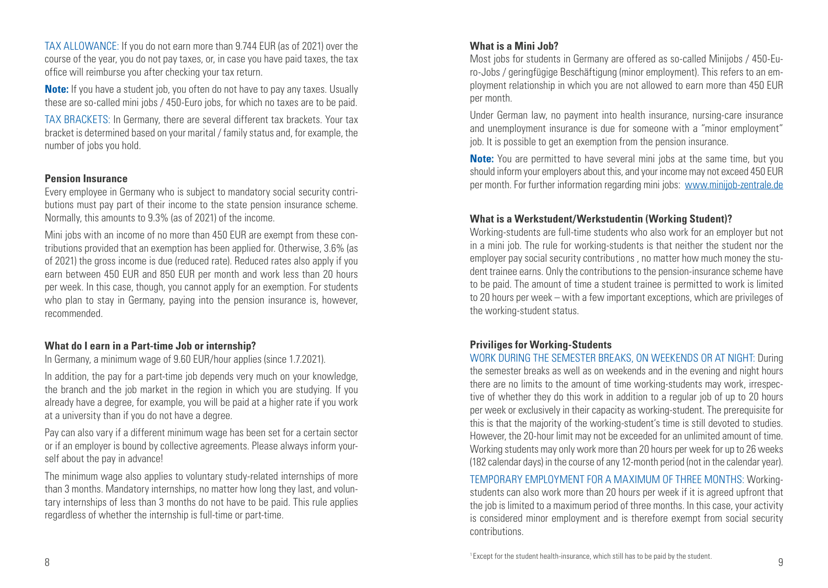TAX ALLOWANCE: If you do not earn more than 9.744 EUR (as of 2021) over the course of the year, you do not pay taxes, or, in case you have paid taxes, the tax office will reimburse you after checking your tax return.

**Note:** If you have a student job, you often do not have to pay any taxes. Usually these are so-called mini jobs / 450-Euro jobs, for which no taxes are to be paid.

TAX BRACKETS: In Germany, there are several different tax brackets. Your tax bracket is determined based on your marital / family status and, for example, the number of jobs you hold.

#### **Pension Insurance**

Every employee in Germany who is subject to mandatory social security contributions must pay part of their income to the state pension insurance scheme. Normally, this amounts to 9.3% (as of 2021) of the income.

Mini jobs with an income of no more than 450 EUR are exempt from these contributions provided that an exemption has been applied for. Otherwise, 3.6% (as of 2021) the gross income is due (reduced rate). Reduced rates also apply if you earn between 450 EUR and 850 EUR per month and work less than 20 hours per week. In this case, though, you cannot apply for an exemption. For students who plan to stay in Germany, paying into the pension insurance is, however, recommended.

#### **What do I earn in a Part-time Job or internship?**

In Germany, a minimum wage of 9.60 EUR/hour applies (since 1.7.2021).

In addition, the pay for a part-time job depends very much on your knowledge. the branch and the job market in the region in which you are studying. If you already have a degree, for example, you will be paid at a higher rate if you work at a university than if you do not have a degree.

Pay can also vary if a different minimum wage has been set for a certain sector or if an employer is bound by collective agreements. Please always inform yourself about the pay in advance!

The minimum wage also applies to voluntary study-related internships of more than 3 months. Mandatory internships, no matter how long they last, and voluntary internships of less than 3 months do not have to be paid. This rule applies regardless of whether the internship is full-time or part-time.

#### **What is a Mini Job?**

Most jobs for students in Germany are offered as so-called Minijobs / 450-Euro-Jobs / geringfügige Beschäftigung (minor employment). This refers to an employment relationship in which you are not allowed to earn more than 450 EUR per month.

Under German law, no payment into health insurance, nursing-care insurance and unemployment insurance is due for someone with a "minor employment" job. It is possible to get an exemption from the pension insurance.

**Note:** You are permitted to have several mini jobs at the same time, but you should inform your employers about this, and your income may not exceed 450 EUR per month. For further information regarding mini jobs: www.minijob-zentrale.de

#### **What is a Werkstudent/Werkstudentin (Working Student)?**

Working-students are full-time students who also work for an employer but not in a mini job. The rule for working-students is that neither the student nor the employer pay social security contributions , no matter how much money the student trainee earns. Only the contributions to the pension-insurance scheme have to be paid. The amount of time a student trainee is permitted to work is limited to 20 hours per week – with a few important exceptions, which are privileges of the working-student status.

#### **Priviliges for Working-Students**

WORK DURING THE SEMESTER BREAKS, ON WEEKENDS OR AT NIGHT: During the semester breaks as well as on weekends and in the evening and night hours there are no limits to the amount of time working-students may work, irrespective of whether they do this work in addition to a regular job of up to 20 hours per week or exclusively in their capacity as working-student. The prerequisite for this is that the majority of the working-student's time is still devoted to studies. However, the 20-hour limit may not be exceeded for an unlimited amount of time. Working students may only work more than 20 hours per week for up to 26 weeks (182 calendar days) in the course of any 12-month period (not in the calendar year).

TEMPORARY EMPLOYMENT FOR A MAXIMUM OF THREE MONTHS: Workingstudents can also work more than 20 hours per week if it is agreed upfront that the job is limited to a maximum period of three months. In this case, your activity is considered minor employment and is therefore exempt from social security contributions.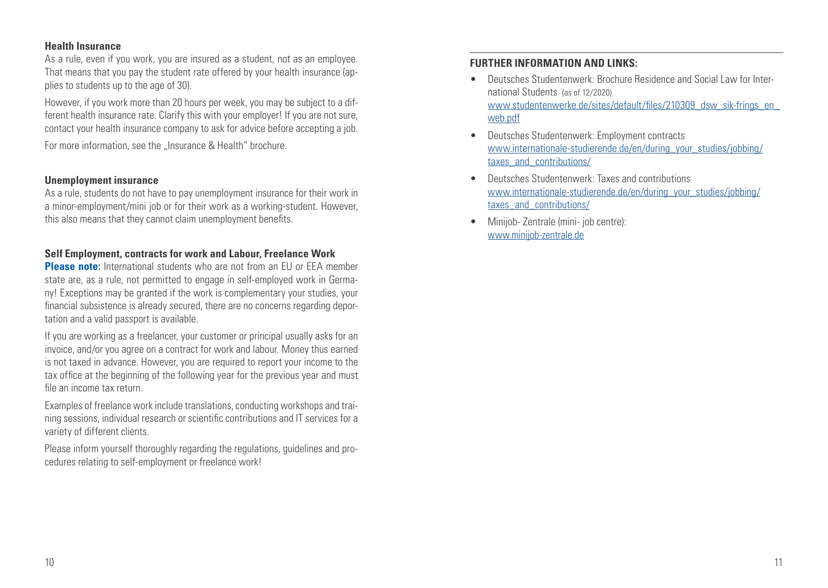#### **Health Insurance**

As a rule, even if you work, you are insured as a student, not as an employee. That means that you pay the student rate offered by your health insurance (applies to students up to the age of 30).

However, if you work more than 20 hours per week, you may be subject to a different health insurance rate. Clarify this with your employer! If you are not sure, contact your health insurance company to ask for advice before accepting a job.

For more information, see the "Insurance & Health" brochure.

#### **Unemployment insurance**

As a rule, students do not have to pay unemployment insurance for their work in a minor-employment/mini job or for their work as a working-student. However, this also means that they cannot claim unemployment benefits.

#### **Self Employment, contracts for work and Labour, Freelance Work**

**Please note:** International students who are not from an EU or FEA member state are, as a rule, not permitted to engage in self-employed work in Germany! Exceptions may be granted if the work is complementary your studies, your financial subsistence is already secured, there are no concerns regarding deportation and a valid passport is available.

If you are working as a freelancer, your customer or principal usually asks for an invoice, and/or you agree on a contract for work and labour. Money thus earned is not taxed in advance. However, you are required to report your income to the tax office at the beginning of the following year for the previous year and must file an income tax return.

Examples of freelance work include translations, conducting workshops and training sessions, individual research or scientific contributions and IT services for a variety of different clients.

Please inform yourself thoroughly regarding the regulations, guidelines and procedures relating to self-employment or freelance work!

#### **FURTHER INFORMATION AND LINKS:**

- Deutsches Studentenwerk: Brochure Residence and Social Law for International Students (as of 12/2020) www.studentenwerke.de/sites/default/files/210309\_dsw\_sik-frings\_en\_ web.pdf
- Deutsches Studentenwerk: Employment contracts [www.internationale-studierende.de/en/during\\_your\\_studies/jobbing/](http://www.internationale-studierende.de/waehrend_des_studiums/jobben/ ) [taxes\\_and\\_contributions/](http://www.internationale-studierende.de/waehrend_des_studiums/jobben/ )
- Deutsches Studentenwerk: Taxes and contributions [www.internationale-studierende.de/en/during\\_your\\_studies/jobbing/](http://www.daad.de/de/studieren-und-forschen-in-deutschland/erste-schritte-deutschland/nebenjobs/ ) [taxes\\_and\\_contributions/](http://www.daad.de/de/studieren-und-forschen-in-deutschland/erste-schritte-deutschland/nebenjobs/ )
- Minijob- Zentrale (mini- job centre): www.minijob-zentrale.de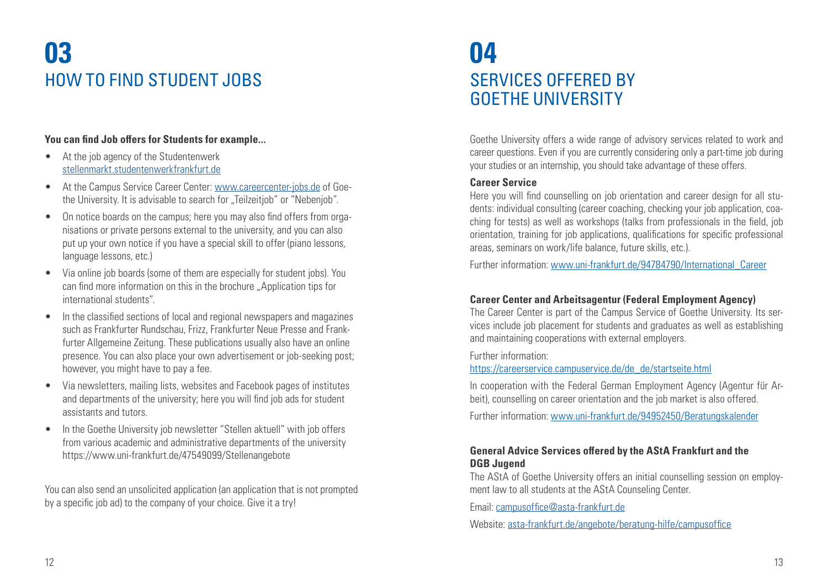# **03** HOW TO FIND STUDENT JOBS

#### **You can find Job offers for Students for example...**

- At the job agency of the Studentenwerk [stellenmarkt.studentenwerkfrankfurt.de](http://stellenmarkt.studentenwerkfrankfurt.de)
- At the Campus Service Career Center: www.careercenter-jobs.de of Goethe University. It is advisable to search for "Teilzeitiob" or "Nebenjob".
- On notice boards on the campus; here you may also find offers from organisations or private persons external to the university, and you can also put up your own notice if you have a special skill to offer (piano lessons, language lessons, etc.)
- Via online job boards (some of them are especially for student jobs). You can find more information on this in the brochure "Application tips for international students".
- In the classified sections of local and regional newspapers and magazines such as Frankfurter Rundschau, Frizz, Frankfurter Neue Presse and Frankfurter Allgemeine Zeitung. These publications usually also have an online presence. You can also place your own advertisement or job-seeking post; however, you might have to pay a fee.
- Via newsletters, mailing lists, websites and Facebook pages of institutes and departments of the university; here you will find job ads for student assistants and tutors.
- In the Goethe University job newsletter "Stellen aktuell" with job offers from various academic and administrative departments of the university https://www.uni-frankfurt.de/47549099/Stellenangebote

You can also send an unsolicited application (an application that is not prompted by a specific job ad) to the company of your choice. Give it a try!

### **04** SERVICES OFFERED BY GOETHE UNIVERSITY

Goethe University offers a wide range of advisory services related to work and career questions. Even if you are currently considering only a part-time job during your studies or an internship, you should take advantage of these offers.

#### **Career Service**

Here you will find counselling on job orientation and career design for all students: individual consulting (career coaching, checking your job application, coaching for tests) as well as workshops (talks from professionals in the field, job orientation, training for job applications, qualifications for specific professional areas, seminars on work/life balance, future skills, etc.).

Further information: www.uni-frankfurt.de/94784790/International\_Career

#### **Career Center and Arbeitsagentur (Federal Employment Agency)**

The Career Center is part of the Campus Service of Goethe University. Its services include job placement for students and graduates as well as establishing and maintaining cooperations with external employers.

Further information:

https://careerservice.campuservice.de/de\_de/startseite.html

In cooperation with the Federal German Employment Agency (Agentur für Arbeit), counselling on career orientation and the job market is also offered.

Further information: [www.uni-frankfurt.de/94952450/Beratungskalender](https://www.uni-frankfurt.de/94952450/Beratungskalender)

#### **General Advice Services offered by the AStA Frankfurt and the DGB Jugend**

The AStA of Goethe University offers an initial counselling session on employment law to all students at the AStA Counseling Center.

Email: campusoffice@[asta-frankfurt.de](mailto:campusoffice%40asta-frankfurt.de?subject=)

Website: [asta-frankfurt.de/angebote/beratung-hilfe/campusoffice](mailto:asta-frankfurt.de/angebote/beratung-hilfe/campusoffice?subject=)